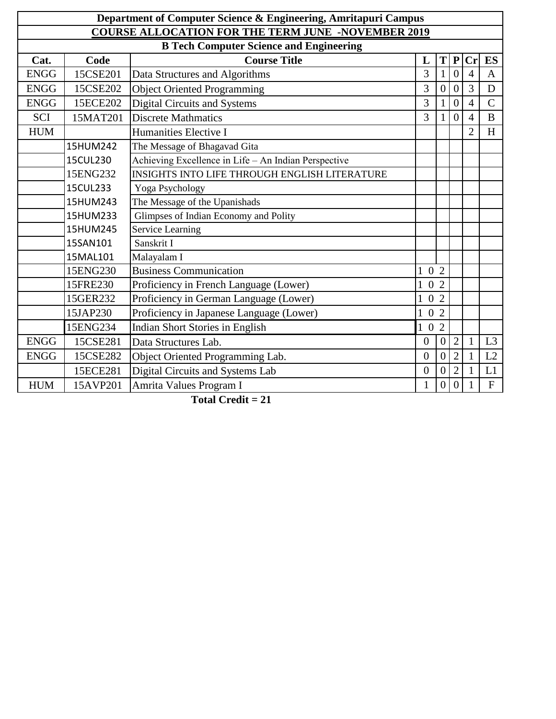| Department of Computer Science & Engineering, Amritapuri Campus |          |                                                      |                     |                  |                  |                |                |  |  |
|-----------------------------------------------------------------|----------|------------------------------------------------------|---------------------|------------------|------------------|----------------|----------------|--|--|
| <b>COURSE ALLOCATION FOR THE TERM JUNE -NOVEMBER 2019</b>       |          |                                                      |                     |                  |                  |                |                |  |  |
| <b>B Tech Computer Science and Engineering</b>                  |          |                                                      |                     |                  |                  |                |                |  |  |
| Cat.                                                            | Code     | <b>Course Title</b>                                  | L                   | T                | ${\bf P}$        | Cr             | ES             |  |  |
| <b>ENGG</b>                                                     | 15CSE201 | Data Structures and Algorithms                       | 3                   | $\mathbf{1}$     | $\overline{0}$   | $\overline{4}$ | $\mathbf{A}$   |  |  |
| <b>ENGG</b>                                                     | 15CSE202 | <b>Object Oriented Programming</b>                   | 3                   | $\overline{0}$   | $\overline{0}$   | 3              | $\mathbf D$    |  |  |
| <b>ENGG</b>                                                     | 15ECE202 | <b>Digital Circuits and Systems</b>                  | 3                   | $\mathbf{1}$     | $\overline{0}$   | $\overline{4}$ | $\overline{C}$ |  |  |
| <b>SCI</b>                                                      | 15MAT201 | <b>Discrete Mathmatics</b>                           | 3                   |                  | $\overline{0}$   | $\overline{4}$ | B              |  |  |
| <b>HUM</b>                                                      |          | Humanities Elective I                                |                     |                  |                  | $\overline{2}$ | H              |  |  |
|                                                                 | 15HUM242 | The Message of Bhagavad Gita                         |                     |                  |                  |                |                |  |  |
|                                                                 | 15CUL230 | Achieving Excellence in Life - An Indian Perspective |                     |                  |                  |                |                |  |  |
|                                                                 | 15ENG232 | <b>INSIGHTS INTO LIFE THROUGH ENGLISH LITERATURE</b> |                     |                  |                  |                |                |  |  |
|                                                                 | 15CUL233 | Yoga Psychology                                      |                     |                  |                  |                |                |  |  |
|                                                                 | 15HUM243 | The Message of the Upanishads                        |                     |                  |                  |                |                |  |  |
|                                                                 | 15HUM233 | Glimpses of Indian Economy and Polity                |                     |                  |                  |                |                |  |  |
|                                                                 | 15HUM245 | Service Learning                                     |                     |                  |                  |                |                |  |  |
|                                                                 | 15SAN101 | Sanskrit I                                           |                     |                  |                  |                |                |  |  |
|                                                                 | 15MAL101 | Malayalam I                                          |                     |                  |                  |                |                |  |  |
|                                                                 | 15ENG230 | <b>Business Communication</b>                        | $1 \t0 \t2$         |                  |                  |                |                |  |  |
|                                                                 | 15FRE230 | Proficiency in French Language (Lower)               | $1\,$ O $\,2$       |                  |                  |                |                |  |  |
|                                                                 | 15GER232 | Proficiency in German Language (Lower)               | $1\,$ 0 $\,$ 2 $\,$ |                  |                  |                |                |  |  |
|                                                                 | 15JAP230 | Proficiency in Japanese Language (Lower)             | $1\,0\,2$           |                  |                  |                |                |  |  |
|                                                                 | 15ENG234 | <b>Indian Short Stories in English</b>               | $1\,0$              | $\overline{2}$   |                  |                |                |  |  |
| <b>ENGG</b>                                                     | 15CSE281 | Data Structures Lab.                                 | $\overline{0}$      | $\overline{0}$   | $\overline{2}$   |                | L3             |  |  |
| <b>ENGG</b>                                                     | 15CSE282 | Object Oriented Programming Lab.                     | $\overline{0}$      | $\boldsymbol{0}$ | $\overline{2}$   |                | L2             |  |  |
|                                                                 | 15ECE281 | Digital Circuits and Systems Lab                     | $\overline{0}$      | $\boldsymbol{0}$ | $\overline{2}$   | 1              | L1             |  |  |
| <b>HUM</b>                                                      | 15AVP201 | Amrita Values Program I                              | $\mathbf{1}$        | $\boldsymbol{0}$ | $\boldsymbol{0}$ |                | ${\bf F}$      |  |  |

 **Total Credit = 21**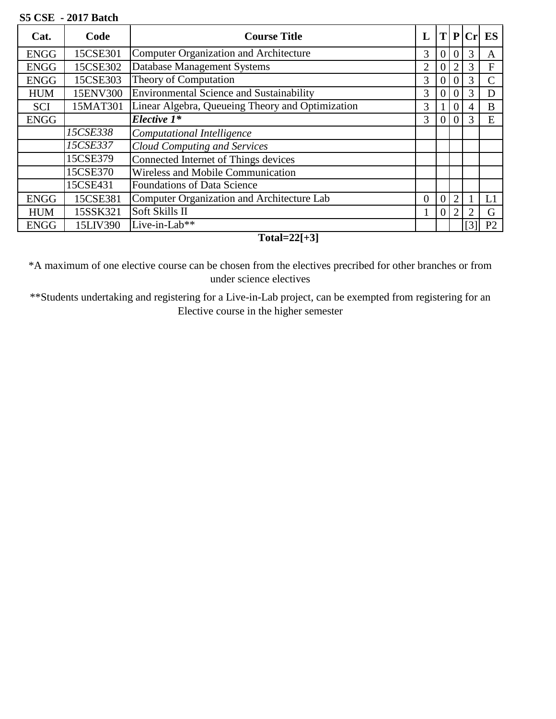## **S5 CSE - 2017 Batch**

| Cat.        | Code     | <b>Course Title</b>                              |                |                |                | $\ T\ P\ Cr\ $ | ES             |
|-------------|----------|--------------------------------------------------|----------------|----------------|----------------|----------------|----------------|
| <b>ENGG</b> | 15CSE301 | <b>Computer Organization and Architecture</b>    | 3              | $\overline{0}$ |                | 3              | A              |
| <b>ENGG</b> | 15CSE302 | Database Management Systems                      | $\overline{2}$ | $\overline{0}$ | $\overline{2}$ |                | $F_{\rm}$      |
| <b>ENGG</b> | 15CSE303 | Theory of Computation                            | 3              | $\overline{0}$ |                | 3              |                |
| <b>HUM</b>  | 15ENV300 | Environmental Science and Sustainability         | 3              | $\overline{0}$ |                | 3              | D              |
| <b>SCI</b>  | 15MAT301 | Linear Algebra, Queueing Theory and Optimization | 3              |                | $\theta$       |                | B              |
| <b>ENGG</b> |          | Elective 1*                                      | 3              | $\overline{0}$ |                |                | E              |
|             | 15CSE338 | Computational Intelligence                       |                |                |                |                |                |
|             | 15CSE337 | <b>Cloud Computing and Services</b>              |                |                |                |                |                |
|             | 15CSE379 | Connected Internet of Things devices             |                |                |                |                |                |
|             | 15CSE370 | Wireless and Mobile Communication                |                |                |                |                |                |
|             | 15CSE431 | <b>Foundations of Data Science</b>               |                |                |                |                |                |
| <b>ENGG</b> | 15CSE381 | Computer Organization and Architecture Lab       | $\Omega$       | 0              | $\overline{2}$ |                | L1             |
| <b>HUM</b>  | 15SSK321 | Soft Skills II                                   |                | 0              | $\overline{2}$ | 2              | G              |
| <b>ENGG</b> | 15LIV390 | Live-in-Lab**                                    |                |                |                | [3]            | P <sub>2</sub> |

**Total=22[+3]**

\*A maximum of one elective course can be chosen from the electives precribed for other branches or from under science electives

\*\*Students undertaking and registering for a Live-in-Lab project, can be exempted from registering for an Elective course in the higher semester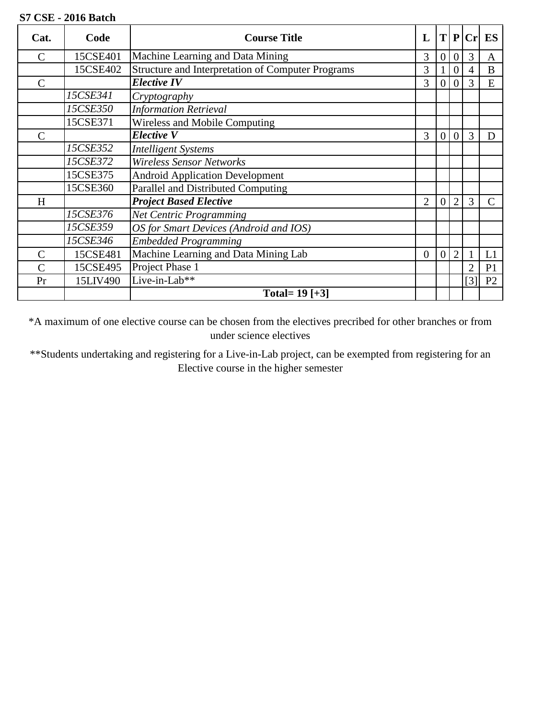## **S7 CSE - 2016 Batch**

| Cat.           | Code     | <b>Course Title</b>                               | $\mathbf{L}$   |                  | T P              |     | $Cr$ ES        |
|----------------|----------|---------------------------------------------------|----------------|------------------|------------------|-----|----------------|
| $\mathcal{C}$  | 15CSE401 | Machine Learning and Data Mining                  | 3              | $\overline{0}$   | $\overline{0}$   | 3   | A              |
|                | 15CSE402 | Structure and Interpretation of Computer Programs | 3              |                  | $\overline{0}$   | 4   | B              |
| $\mathcal{C}$  |          | <b>Elective IV</b>                                | 3              | $\overline{0}$   | $\boldsymbol{0}$ | 3   | E              |
|                | 15CSE341 | Cryptography                                      |                |                  |                  |     |                |
|                | 15CSE350 | <b>Information Retrieval</b>                      |                |                  |                  |     |                |
|                | 15CSE371 | Wireless and Mobile Computing                     |                |                  |                  |     |                |
| C              |          | Elective V                                        | 3              | $\overline{0}$   | $\boldsymbol{0}$ | 3   | D              |
|                | 15CSE352 | <b>Intelligent Systems</b>                        |                |                  |                  |     |                |
|                | 15CSE372 | <b>Wireless Sensor Networks</b>                   |                |                  |                  |     |                |
|                | 15CSE375 | <b>Android Application Development</b>            |                |                  |                  |     |                |
|                | 15CSE360 | Parallel and Distributed Computing                |                |                  |                  |     |                |
| H              |          | <b>Project Based Elective</b>                     | $\overline{2}$ | $\mathbf{0}$     | $\overline{2}$   | 3   |                |
|                | 15CSE376 | <b>Net Centric Programming</b>                    |                |                  |                  |     |                |
|                | 15CSE359 | OS for Smart Devices (Android and IOS)            |                |                  |                  |     |                |
|                | 15CSE346 | <b>Embedded Programming</b>                       |                |                  |                  |     |                |
| $\mathcal{C}$  | 15CSE481 | Machine Learning and Data Mining Lab              | $\theta$       | $\boldsymbol{0}$ | $\overline{2}$   |     | L1             |
| $\overline{C}$ | 15CSE495 | Project Phase 1                                   |                |                  |                  | 2   | P <sub>1</sub> |
| Pr             | 15LIV490 | Live-in-Lab**                                     |                |                  |                  | [3] | P <sub>2</sub> |
|                |          | Total= $19$ [+3]                                  |                |                  |                  |     |                |

\*A maximum of one elective course can be chosen from the electives precribed for other branches or from under science electives

\*\*Students undertaking and registering for a Live-in-Lab project, can be exempted from registering for an Elective course in the higher semester